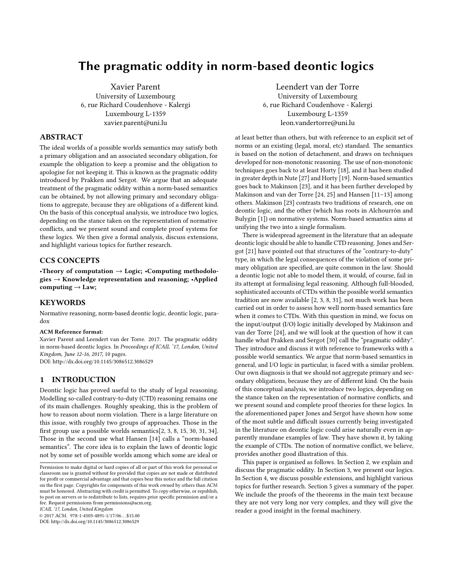# The pragmatic oddity in norm-based deontic logics

Xavier Parent University of Luxembourg 6, rue Richard Coudenhove - Kalergi Luxembourg L-1359 xavier.parent@uni.lu

#### ABSTRACT

The ideal worlds of a possible worlds semantics may satisfy both a primary obligation and an associated secondary obligation, for example the obligation to keep a promise and the obligation to apologise for not keeping it. This is known as the pragmatic oddity introduced by Prakken and Sergot. We argue that an adequate treatment of the pragmatic oddity within a norm-based semantics can be obtained, by not allowing primary and secondary obligations to aggregate, because they are obligations of a different kind. On the basis of this conceptual analysis, we introduce two logics, depending on the stance taken on the representation of normative conflicts, and we present sound and complete proof systems for these logics. We then give a formal analysis, discuss extensions, and highlight various topics for further research.

## CCS CONCEPTS

•Theory of computation  $\rightarrow$  Logic; •Computing methodologies  $\rightarrow$  Knowledge representation and reasoning; •Applied computing  $\rightarrow$  Law;

#### **KEYWORDS**

Normative reasoning, norm-based deontic logic, deontic logic, paradox

#### ACM Reference format:

Xavier Parent and Leendert van der Torre. 2017. The pragmatic oddity in norm-based deontic logics. In Proceedings of ICAIL '17, London, United Kingdom, June 12-16, 2017, [10](#page-9-0) pages. DOI: http://dx.doi.org/10.1145/3086512.3086529

## 1 INTRODUCTION

Deontic logic has proved useful to the study of legal reasoning. Modelling so-called contrary-to-duty (CTD) reasoning remains one of its main challenges. Roughly speaking, this is the problem of how to reason about norm violation. There is a large literature on this issue, with roughly two groups of approaches. Those in the first group use a possible worlds semantics $[2, 3, 8, 15, 30, 31, 34]$  $[2, 3, 8, 15, 30, 31, 34]$  $[2, 3, 8, 15, 30, 31, 34]$  $[2, 3, 8, 15, 30, 31, 34]$  $[2, 3, 8, 15, 30, 31, 34]$  $[2, 3, 8, 15, 30, 31, 34]$  $[2, 3, 8, 15, 30, 31, 34]$  $[2, 3, 8, 15, 30, 31, 34]$  $[2, 3, 8, 15, 30, 31, 34]$  $[2, 3, 8, 15, 30, 31, 34]$  $[2, 3, 8, 15, 30, 31, 34]$  $[2, 3, 8, 15, 30, 31, 34]$  $[2, 3, 8, 15, 30, 31, 34]$ . Those in the second use what Hansen [\[14\]](#page-9-6) calls a "norm-based semantics". The core idea is to explain the laws of deontic logic not by some set of possible worlds among which some are ideal or

ICAIL '17, London, United Kingdom

 $@ 2017$  ACM. 978-1-4503-4891-1/17/06...\$15.00

DOI: http://dx.doi.org/10.1145/3086512.3086529

Leendert van der Torre University of Luxembourg 6, rue Richard Coudenhove - Kalergi Luxembourg L-1359 leon.vandertorre@uni.lu

at least better than others, but with reference to an explicit set of norms or an existing (legal, moral, etc) standard. The semantics is based on the notion of detachment, and draws on techniques developed for non-monotonic reasoning. The use of non-monotonic techniques goes back to at least Horty [\[18\]](#page-9-7), and it has been studied in greater depth in Nute [\[27\]](#page-9-8) and Horty [\[19\]](#page-9-9). Norm-based semantics goes back to Makinson [\[23\]](#page-9-10), and it has been further developed by Makinson and van der Torre [\[24,](#page-9-11) [25\]](#page-9-12) and Hansen [\[11–](#page-9-13)[13\]](#page-9-14) among others. Makinson [\[23\]](#page-9-10) contrasts two traditions of research, one on deontic logic, and the other (which has roots in Alchourrón and Bulygin [\[1\]](#page-8-2)) on normative systems. Norm-based semantics aims at unifying the two into a single formalism.

There is widespread agreement in the literature that an adequate deontic logic should be able to handle CTD reasoning. Jones and Sergot [\[21\]](#page-9-15) have pointed out that structures of the "contrary-to-duty" type, in which the legal consequences of the violation of some primary obligation are specified, are quite common in the law. Should a deontic logic not able to model them, it would, of course, fail in its attempt at formalising legal reasoning. Although full-blooded, sophisticated accounts of CTDs within the possible world semantics tradition are now available [\[2,](#page-8-0) [3,](#page-8-1) [8,](#page-9-1) [31\]](#page-9-4), not much work has been carried out in order to assess how well norm-based semantics fare when it comes to CTDs. With this question in mind, we focus on the input/output (I/O) logic initially developed by Makinson and van der Torre [\[24\]](#page-9-11), and we will look at the question of how it can handle what Prakken and Sergot [\[30\]](#page-9-3) call the "pragmatic oddity". They introduce and discuss it with reference to frameworks with a possible world semantics. We argue that norm-based semantics in general, and I/O logic in particular, is faced with a similar problem. Our own diagnosis is that we should not aggregate primary and secondary obligations, because they are of different kind. On the basis of this conceptual analysis, we introduce two logics, depending on the stance taken on the representation of normative conflicts, and we present sound and complete proof theories for these logics. In the aforementioned paper Jones and Sergot have shown how some of the most subtle and difficult issues currently being investigated in the literature on deontic logic could arise naturally even in apparently mundane examples of law. They have shown it, by taking the example of CTDs. The notion of normative conflict, we believe, provides another good illustration of this.

This paper is organised as follows. In Section 2, we explain and discuss the pragmatic oddity. In Section 3, we present our logics. In Section 4, we discuss possible extensions, and highlight various topics for further research. Section 5 gives a summary of the paper. We include the proofs of the theorems in the main text because they are not very long nor very complex, and they will give the reader a good insight in the formal machinery.

Permission to make digital or hard copies of all or part of this work for personal or classroom use is granted without fee provided that copies are not made or distributed for profit or commercial advantage and that copies bear this notice and the full citation on the first page. Copyrights for components of this work owned by others than  $\rm{ACM}$ must be honored. Abstracting with credit is permitted. To copy otherwise, or republish, to post on servers or to redistribute to lists, requires prior specific permission and/or a fee. Request permissions from permissions@acm.org.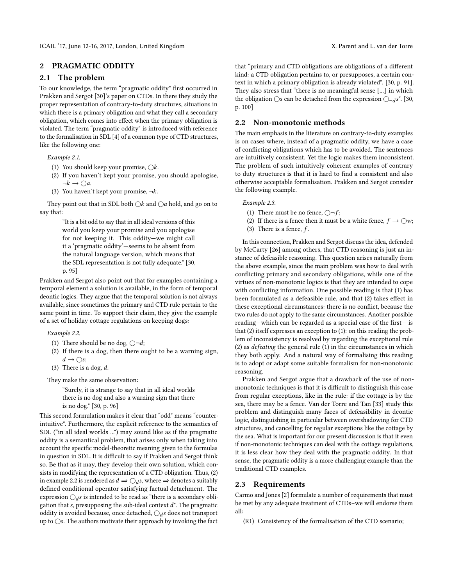#### 2 PRAGMATIC ODDITY

#### 2.1 The problem

To our knowledge, the term "pragmatic oddity" first occurred in Prakken and Sergot [\[30\]](#page-9-3)'s paper on CTDs. In there they study the proper representation of contrary-to-duty structures, situations in which there is a primary obligation and what they call a secondary obligation, which comes into effect when the primary obligation is violated. The term "pragmatic oddity" is introduced with reference to the formalisation in SDL [\[4\]](#page-8-3) of a common type of CTD structures, like the following one:

#### <span id="page-1-1"></span>Example 2.1.

- (1) You should keep your promise,  $\bigcirc k$ .
- (2) If you haven't kept your promise, you should apologise,  $\neg k \rightarrow \bigcirc a$ .
- (3) You haven't kept your promise,  $\neg k$ .

They point out that in SDL both  $\bigcirc k$  and  $\bigcirc a$  hold, and go on to say that:

> "It is a bit odd to say that in all ideal versions of this world you keep your promise and you apologise for not keeping it. This oddity—we might call it a 'pragmatic oddity'—seems to be absent from the natural language version, which means that the SDL representation is not fully adequate." [\[30,](#page-9-3) p. 95]

Prakken and Sergot also point out that for examples containing a temporal element a solution is available, in the form of temporal deontic logics. They argue that the temporal solution is not always available, since sometimes the primary and CTD rule pertain to the same point in time. To support their claim, they give the example of a set of holiday cottage regulations on keeping dogs:

<span id="page-1-0"></span>Example 2.2.

- (1) There should be no dog,  $\bigcirc \neg d$ ;
- (2) If there is a dog, then there ought to be a warning sign,  $d \rightarrow \bigcirc$ s;
- (3) There is a dog,  $d$ .

They make the same observation:

"Surely, it is strange to say that in all ideal worlds there is no dog and also a warning sign that there is no dog." [\[30,](#page-9-3) p. 96]

This second formulation makes it clear that "odd" means "counterintuitive". Furthermore, the explicit reference to the semantics of SDL ("in all ideal worlds ...") may sound like as if the pragmatic oddity is a semantical problem, that arises only when taking into account the specific model-theoretic meaning given to the formulas in question in SDL. It is difficult to say if Prakken and Sergot think so. Be that as it may, they develop their own solution, which consists in modifying the representation of a CTD obligation. Thus, (2) in example [2.2](#page-1-0) is rendered as  $d \Rightarrow Q_d s$ , where ⇒ denotes a suitably defined conditional operator satisfying factual detachment. The defined conditional operator satisfying factual detachment. The expression  $\bigcirc_{d}s$  is intended to be read as "there is a secondary obli-<br>gation that a presupposing the sub-ideal context  $d$ ". The pregmatic gation that s, presupposing the sub-ideal context  $d''$ . The pragmatic oddity is avoided because once detached  $\bigcirc$  is does not transport oddity is avoided because, once detached,  $Q_d s$  does not transport up to  $Q_s$ . The authors motivate their approach by invoking the fact up to  $\bigcirc$ s. The authors motivate their approach by invoking the fact

that "primary and CTD obligations are obligations of a different kind: a CTD obligation pertains to, or presupposes, a certain context in which a primary obligation is already violated". [\[30,](#page-9-3) p. 91]. They also stress that "there is no meaningful sense [...] in which the obligation  $\bigcirc$ s can be detached from the expression  $\bigcirc_{\neg d} s$ ". [\[30,](#page-9-3) p. 100]

#### 2.2 Non-monotonic methods

The main emphasis in the literature on contrary-to-duty examples is on cases where, instead of a pragmatic oddity, we have a case of conflicting obligations which has to be avoided. The sentences are intuitively consistent. Yet the logic makes them inconsistent. The problem of such intuitively coherent examples of contrary to duty structures is that it is hard to find a consistent and also otherwise acceptable formalisation. Prakken and Sergot consider the following example.

#### Example 2.3.

- (1) There must be no fence,  $\bigcirc \neg f$ ;
- (2) If there is a fence then it must be a white fence,  $f \to \bigcirc w$ ;
- (3) There is a fence,  $f$ .

In this connection, Prakken and Sergot discuss the idea, defended by McCarty [\[26\]](#page-9-16) among others, that CTD reasoning is just an instance of defeasible reasoning. This question arises naturally from the above example, since the main problem was how to deal with conflicting primary and secondary obligations, while one of the virtues of non-monotonic logics is that they are intended to cope with conflicting information. One possible reading is that  $(1)$  has been formulated as a defeasible rule, and that (2) takes effect in these exceptional circumstances: there is no conflict, because the two rules do not apply to the same circumstances. Another possible reading—which can be regarded as a special case of the first— is that (2) itself expresses an exception to (1): on this reading the problem of inconsistency is resolved by regarding the exceptional rule (2) as defeating the general rule (1) in the circumstances in which they both apply. And a natural way of formalising this reading is to adopt or adapt some suitable formalism for non-monotonic reasoning.

Prakken and Sergot argue that a drawback of the use of nonmonotonic techniques is that it is difficult to distinguish this case from regular exceptions, like in the rule: if the cottage is by the sea, there may be a fence. Van der Torre and Tan [\[33\]](#page-9-17) study this problem and distinguish many faces of defeasibility in deontic logic, distinguishing in particular between overshadowing for CTD structures, and cancelling for regular exceptions like the cottage by the sea. What is important for our present discussion is that it even if non-monotonic techniques can deal with the cottage regulations, it is less clear how they deal with the pragmatic oddity. In that sense, the pragmatic oddity is a more challenging example than the traditional CTD examples.

#### 2.3 Requirements

Carmo and Jones [\[2\]](#page-8-0) formulate a number of requirements that must be met by any adequate treatment of CTDs–we will endorse them all:

(R1) Consistency of the formalisation of the CTD scenario;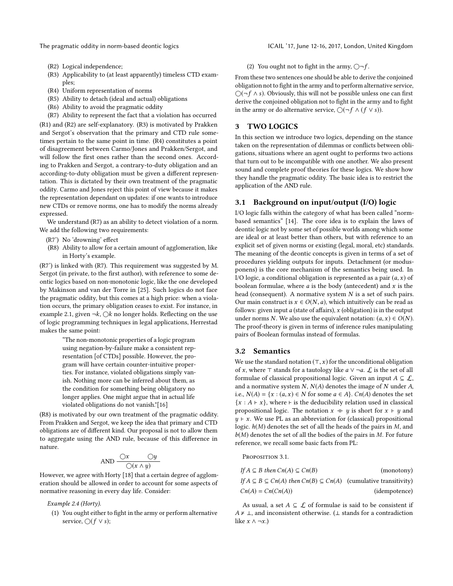The pragmatic oddity in norm-based deontic logics ICAIL '17, June 12-16, 2017, London, United Kingdom

- (R2) Logical independence;
- (R3) Applicability to (at least apparently) timeless CTD examples;
- (R4) Uniform representation of norms
- (R5) Ability to detach (ideal and actual) obligations
- (R6) Ability to avoid the pragmatic oddity
- (R7) Ability to represent the fact that a violation has occurred

(R1) and (R2) are self-explanatory. (R3) is motivated by Prakken and Sergot's observation that the primary and CTD rule sometimes pertain to the same point in time. (R4) constitutes a point of disagreement between Carmo/Jones and Prakken/Sergot, and will follow the first ones rather than the second ones. According to Prakken and Sergot, a contrary-to-duty obligation and an according-to-duty obligation must be given a different representation. This is dictated by their own treatment of the pragmatic oddity. Carmo and Jones reject this point of view because it makes the representation dependant on updates: if one wants to introduce new CTDs or remove norms, one has to modify the norms already expressed.

We understand (R7) as an ability to detect violation of a norm. We add the following two requirements:

- (R7') No 'drowning' effect
- (R8) Ability to allow for a certain amount of agglomeration, like in Horty's example.

(R7') is linked with (R7). This requirement was suggested by M. Sergot (in private, to the first author), with reference to some deontic logics based on non-monotonic logic, like the one developed by Makinson and van der Torre in [\[25\]](#page-9-12). Such logics do not face the pragmatic oddity, but this comes at a high price: when a violation occurs, the primary obligation ceases to exist. For instance, in example [2.1,](#page-1-1) given  $\neg k$ ,  $\bigcirc k$  no longer holds. Reflecting on the use of logic programming techniques in legal applications, Herrestad makes the same point:

> "The non-monotonic properties of a logic program using negation-by-failure make a consistent representation [of CTDs] possible. However, the program will have certain counter-intuitive properties. For instance, violated obligations simply vanish. Nothing more can be inferred about them, as the condition for something being obligatory no longer applies. One might argue that in actual life violated obligations do not vanish."[\[16\]](#page-9-18)

(R8) is motivated by our own treatment of the pragmatic oddity. From Prakken and Sergot, we keep the idea that primary and CTD obligations are of different kind. Our proposal is not to allow them to aggregate using the AND rule, because of this difference in nature.

$$
AND \frac{Qx}{Q(x \land y)}
$$

AND  $\frac{y}{\sqrt{x} + \sqrt{y}}$ <br>However, we agree with Horty [\[18\]](#page-9-7) that a certain degree of agglomeration should be allowed in order to account for some aspects of normative reasoning in every day life. Consider:

Example 2.4 (Horty).

(1) You ought either to fight in the army or perform alternative service,  $\bigcirc$ (*f* ∨ *s*);

#### (2) You ought not to fight in the army,  $\bigcirc$  -f.

From these two sentences one should be able to derive the conjoined obligation not to fight in the army and to perform alternative service,  $\bigcirc$ (¬f  $\wedge$  s). Obviously, this will not be possible unless one can first derive the conjoined obligation not to fight in the army and to fight in the army or do alternative service,  $\bigcirc$ ( $\neg f \wedge (f \vee s)$ ).

## 3 TWO LOGICS

In this section we introduce two logics, depending on the stance taken on the representation of dilemmas or conflicts between obligations, situations where an agent ought to performs two actions that turn out to be incompatible with one another. We also present sound and complete proof theories for these logics. We show how they handle the pragmatic oddity. The basic idea is to restrict the application of the AND rule.

#### 3.1 Background on input/output (I/O) logic

I/O logic falls within the category of what has been called "normbased semantics" [\[14\]](#page-9-6). The core idea is to explain the laws of deontic logic not by some set of possible worlds among which some are ideal or at least better than others, but with reference to an explicit set of given norms or existing (legal, moral, etc) standards. The meaning of the deontic concepts is given in terms of a set of procedures yielding outputs for inputs. Detachment (or modusponens) is the core mechanism of the semantics being used. In I/O logic, a conditional obligation is represented as a pair  $(a, x)$  of boolean formulae, where  $a$  is the body (antecedent) and  $x$  is the head (consequent). A normative system  $N$  is a set of such pairs. Our main construct is  $x \in O(N, a)$ , which intuitively can be read as follows: given input a (state of affairs),  $x$  (obligation) is in the output under norms N. We also use the equivalent notation:  $(a, x) \in O(N)$ . The proof-theory is given in terms of inference rules manipulating pairs of Boolean formulas instead of formulas.

#### 3.2 Semantics

We use the standard notation  $(\top, x)$  for the unconditional obligation of x, where  $\top$  stands for a tautology like  $a \lor \neg a$ .  $\mathcal L$  is the set of all formulae of classical propositional logic. Given an input  $A \subseteq \mathcal{L}$ , and a normative system  $N$ ,  $N(A)$  denotes the image of  $N$  under  $A$ , i.e.,  $N(A) = \{x : (a, x) \in N \text{ for some } a \in A\}$ .  $Cn(A)$  denotes the set  ${x : A \vdash x}$ , where  $\vdash$  is the deducibility relation used in classical propositional logic. The notation  $x + y$  is short for  $x \vdash y$  and  $y \in x$ . We use PL as an abbreviation for (classical) propositional logic.  $h(M)$  denotes the set of all the heads of the pairs in  $M$ , and  $b(M)$  denotes the set of all the bodies of the pairs in M. For future reference, we recall some basic facts from PL:

Proposition 3.1.

| If $A \subseteq B$ then $Cn(A) \subseteq Cn(B)$                                           | (monotony)    |
|-------------------------------------------------------------------------------------------|---------------|
| If $A \subseteq B \subseteq Cn(A)$ then $Cn(B) \subseteq Cn(A)$ (cumulative transitivity) |               |
| $Cn(A) = Cn(Cn(A))$                                                                       | (idempotence) |

As usual, a set  $A \subseteq \mathcal{L}$  of formulae is said to be consistent if  $A \nvdash \bot$ , and inconsistent otherwise. ( $\bot$  stands for a contradiction like  $x \wedge \neg x$ .)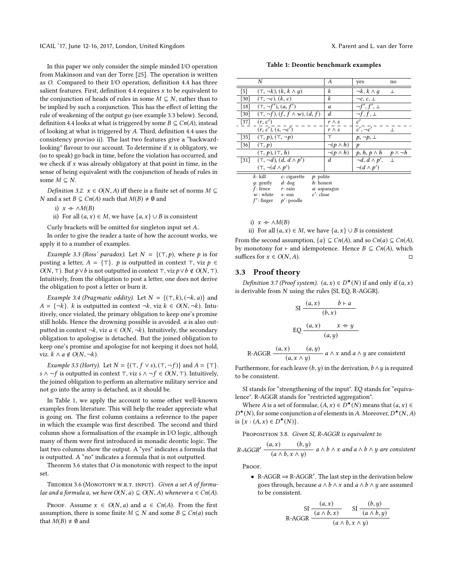In this paper we only consider the simple minded I/O operation from Makinson and van der Torre [\[25\]](#page-9-12). The operation is written as O. Compared to their I/O operation, definition [4.4](#page-7-0) has three salient features. First, definition [4.4](#page-7-0) requires  $x$  to be equivalent to the conjunction of heads of rules in some  $M \subseteq N$ , rather than to be implied by such a conjunction. This has the effect of letting the rule of weakening of the output go (see example [3.3](#page-3-0) below). Second, definition [4.4](#page-7-0) looks at what is triggered by some  $B \subseteq Cn(A)$ , instead of looking at what is triggered by  $A$ . Third, definition [4.4](#page-7-0) uses the consistency proviso ii). The last two features give a "backwardlooking" flavour to our account. To determine if  $x$  is obligatory, we (so to speak) go back in time, before the violation has occurred, and we check if  $x$  was already obligatory at that point in time, in the sense of being equivalent with the conjunction of heads of rules in some  $M \subseteq N$ .

*Definition 3.2.*  $x \in O(N, A)$  iff there is a finite set of norms  $M \subseteq$ *N* and a set *B* ⊆ *Cn*(*A*) such that *M*(*B*)  $\neq$  *Ø* and

i)  $x \dashv \wedge M(B)$ 

ii) For all  $(a, x)$  ∈ *M*, we have  $\{a, x\}$  ∪ *B* is consistent

Curly brackets will be omitted for singleton input set A..

In order to give the reader a taste of how the account works, we apply it to a number of examples.

<span id="page-3-0"></span>Example 3.3 (Ross' paradox). Let  $N = \{(\top, p)$ , where p is for posting a letter,  $A = \{\top\}$ . p is outputted in context  $\top$ , viz  $p \in$  $O(N, T)$ . But  $p ∨ b$  is not outputted in context  $\top$ , viz  $p ∨ b \notin O(N, T)$ . Intuitively, from the obligation to post a letter, one does not derive the obligation to post a letter or burn it.

Example 3.4 (Pragmatic oddity). Let  $N = \{(\top, k), (\neg k, a)\}\$ and  $A = \{\neg k\}$ . k is outputted in context  $\neg k$ , viz  $k \in O(N, \neg k)$ . Intuitively, once violated, the primary obligation to keep one's promise still holds. Hence the drowning possible is avoided. a is also outputted in context  $\neg k$ , viz  $a \in O(N, \neg k)$ . Intuitively, the secondary obligation to apologise is detached. But the joined obligation to keep one's promise and apologise for not keeping it does not hold, viz.  $k \wedge a \notin O(N, \neg k)$ .

<span id="page-3-3"></span>Example 3.5 (Horty). Let  $N = \{(\top, f \lor s), (\top, \neg f)\}\$  and  $A = \{\top\}.$ s ∧ ¬ f is outputted in context ⊤, viz s ∧ ¬ f ∈  $O(N, T)$ . Intuitively, the joined obligation to perform an alternative military service and not go into the army is detached, as it should be.

In Table [1,](#page-3-1) we apply the account to some other well-known examples from literature. This will help the reader appreciate what is going on. The first column contains a reference to the paper in which the example was first described. The second and third column show a formalisation of the example in I/O logic, although many of them were first introduced in monadic deontic logic. The last two columns show the output. A "yes" indicates a formula that is outputted. A "no" indicates a formula that is not outputted.

Theorem [3.6](#page-3-2) states that O is monotonic with respect to the input set.

<span id="page-3-2"></span>THEOREM 3.6 (MONOTONY W.R.T. INPUT). Given a set A of formulae and a formula a, we have  $O(N, a) \subseteq O(N, A)$  whenever  $a \in Cn(A)$ .

PROOF. Assume  $x \in O(N, a)$  and  $a \in Cn(A)$ . From the first assumption, there is some finite  $M \subseteq N$  and some  $B \subseteq Cn(a)$  such that  $M(B) \neq \emptyset$  and

Table 1: Deontic benchmark examples

<span id="page-3-1"></span>

| N                                                      | А                  | yes                    | no                |  |
|--------------------------------------------------------|--------------------|------------------------|-------------------|--|
| $\lceil 5 \rceil$<br>$(\top, \neg k), (k, k \wedge q)$ | k                  | $\neg k, k \wedge q$   | 丄                 |  |
| $(\top, \neg c), (k, c)$<br>$[30]$                     | k                  | $\neg c, c, \perp$     |                   |  |
| $(\top, \neg f'), (a, f')$<br>$\lceil 18 \rceil$       | a                  | $\neg f', f', \perp$   |                   |  |
| $(\top, \neg f), (f, f \wedge w), (d, f)$<br>$[30]$    | d                  | $\neg f, f, \perp$     |                   |  |
| $[37]$<br>(r, c')                                      | $r \wedge s$       | c'                     |                   |  |
| $(r, c'), (s, \neg c')$                                | $r \wedge s$       | $c', \neg c'$          | $\perp$           |  |
| $[35]$<br>$(\top, p), (\top, \neg p)$                  | т                  | $p, \neg p, \perp$     |                   |  |
| $[36]$<br>$(\top, p)$                                  | $\neg(p \wedge h)$ | p                      |                   |  |
| $(\top, p), (\top, h)$                                 | $\neg(p \wedge h)$ | $p, h, p \wedge h$     | $p \wedge \neg h$ |  |
| $(\top, \neg d), (d, d \wedge p')$<br>$[31]$           | d                  | $\neg d, d \wedge p',$ | $\perp$           |  |
| $(\top, \neg(d \wedge p'))$                            |                    | $\neg(d \wedge p')$    |                   |  |
| $k$ : kill<br>$p$ : polite<br>$c$ : cigarette          |                    |                        |                   |  |
| $a$ gently $d \cdot d$ or<br>$h$ honest                |                    |                        |                   |  |

| $q$ : gently  | $d:$ dog      | $h$ : honest   |
|---------------|---------------|----------------|
| $f$ : fence   | $r:$ rain     | $a:$ asparagus |
| $w:$ white    | $s:$ sun      | $c'$ : close   |
| $f'$ : finger | $p'$ : poodle |                |
|               |               |                |

i)  $x + \land M(B)$ 

ii) For all 
$$
(a, x) \in M
$$
, we have  $\{a, x\} \cup B$  is consistent

From the second assumption,  $\{a\} \subseteq Cn(A)$ , and so  $Cn(a) \subseteq Cn(A)$ , which by monotony for  $\vdash$  and idemnatence. Hence  $B \subseteq Cn(A)$ , which by monotony for  $\vdash$  and idempotence. Hence  $B \subseteq Cn(A)$ , which suffices for  $x \in O(N \mid A)$ suffices for  $x \in O(N, A)$ .

## 3.3 Proof theory

Definition 3.7 (Proof system).  $(a, x) \in D^*(N)$  if and only if  $(a, x)$ <br>derivable from N using the rules SI EQ B-AGCD. is derivable from N using the rules {SI, EQ, R-AGGR}.

SI 
$$
\frac{(a, x) \quad b \vdash a}{(b, x)}
$$
  
EQ 
$$
\frac{(a, x) \quad x \dashv y}{(a, y)}
$$

R-AGGR 
$$
\frac{(a, x) \quad (a, y)}{(a, x \land y)}
$$
  $a \land x$  and  $a \land y$  are consistent

Furthermore, for each leave  $(b, y)$  in the derivation,  $b \wedge y$  is required<br>to be consistent to be consistent.

SI stands for "strengthening of the input". EQ stands for "equivalence". R-AGGR stands for "restricted aggregation".

Where A is a set of formulae,  $(A, x) \in D^*(N)$  means that  $(a, x) \in (N)$  for some conjunction a of elements in A Moreover  $D^*(N, A)$ is  $\{x : (A, x) \in D^*(N)\}.$ \*(N), for some conjunction *a* of elements in *A*. Moreover,  $D^*(N, A)$ <br> $\{x : (A, x) \in D^*(N)\}$ 

<span id="page-3-4"></span>PROPOSITION 3.8. Given SI, R-AGGR is equivalent to

$$
R\text{-AGGR}' \xrightarrow{(a, x)} \xrightarrow{(b, y)} a \land b \land x \text{ and } a \land b \land y \text{ are consistent}
$$

PROOF.

• R-AGGR  $\Rightarrow$  R-AGGR'. The last step in the derivation below goes through, because  $a \wedge b \wedge x$  and  $a \wedge b \wedge y$  are assumed to be consistent.

SI 
$$
\frac{(a, x)}{(a \land b, x)} \quad \text{SI } \frac{(b, y)}{(a \land b, y)}
$$
R-AGGR 
$$
\frac{(a, b, x)}{(a \land b, x \land y)}
$$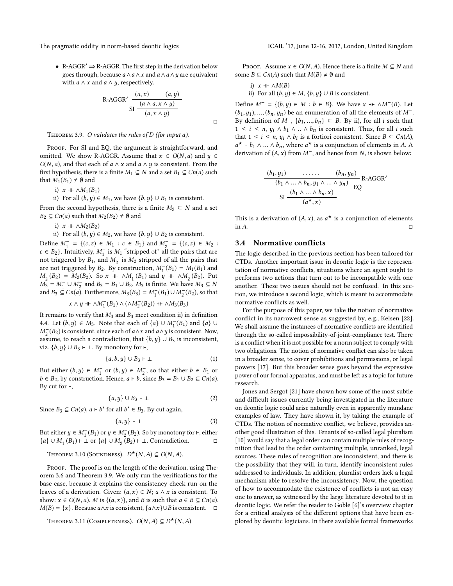• R-AGGR $\prime \Rightarrow$  R-AGGR. The first step in the derivation below goes through, because  $a \wedge a \wedge x$  and  $a \wedge a \wedge y$  are equivalent with *a*  $\land$  *x* and *a*  $\land$  *y*, respectively.

R-AGGR'
$$
\frac{(a, x) \qquad (a, y)}{SI \frac{(a \land a, x \land y)}{(a, x \land y)}}
$$

 $\Box$ 

<span id="page-4-0"></span>THEOREM 3.9. O validates the rules of D (for input a).

PROOF. For SI and EQ, the argument is straightforward, and omitted. We show R-AGGR. Assume that  $x \in O(N, a)$  and  $y \in$  $O(N, a)$ , and that each of  $a \wedge x$  and  $a \wedge y$  is consistent. From the first hypothesis, there is a finite  $M_1 \subseteq N$  and a set  $B_1 \subseteq Cn(a)$  such that  $M_1(B_1) \neq \emptyset$  and

i)  $x \dashv \wedge M_1(B_1)$ 

ii) For all  $(b, y)$  ∈  $M_1$ , we have  $\{b, y\}$  ∪  $B_1$  is consistent.

From the second hypothesis, there is a finite  $M_2 \subseteq N$  and a set  $B_2 \subseteq Cn(a)$  such that  $M_2(B_2) \neq \emptyset$  and

i)  $x + \wedge M_2(B_2)$ 

ii) For all  $(b, y)$  ∈  $M_2$ , we have  $\{b, y\}$  ∪  $B_2$  is consistent.

Define  $M_1^- = \{(c, z) \in M_1 : c \in B_1\}$  and  $M_2^- = \{(c, z) \in M_2 : c \in B_2\}$ . Intuitively  $M^-$  is  $M$ , "etripped of" all the pairs that are  $c \in B_2$ ). Intuitively,  $M_1^-$  is  $M_1$  "stripped of" all the pairs that are not triggered by  $B_1$  and  $M^-$  is  $M_2$  stripped of all the pairs that not triggered by  $B_1$ , and  $M_2^-$  is  $M_2$  stripped of all the pairs that are not triggered by  $B_2$ . By construction  $M^-(B_1) = M_1(B_2)$  and are not triggered by  $B_2$ . By construction,  $M_1^{-}(B_1) = M_1(B_1)$  and  $M^{-}(B_2) = M_2(B_2)$ . So  $x \to \Delta M^{-}(B_1)$  and  $y \to \Delta M^{-}(B_2)$ . Put  $M_2(B_2) = M_2(B_2)$ . So  $x + \sqrt{M_1(B_1)}$  and  $y + \sqrt{M_2(B_2)}$ . Put  $M_2 = M_1 + M_2$  and  $B_2 = B_1 + B_2$ .  $M_3$  is finite. We have  $M_2 \subset N$ .  $M_3 = M_1^- \cup M_2^-$  and  $B_3 = B_1 \cup B_2$ .  $M_3$  is finite. We have  $M_3 \subseteq N$ <br>and  $B_2 \subseteq C_n(a)$ . Eurthermore,  $M_2(B_2) = M^{-1}(B_2) + M^{-1}(B_2)$ , so that and  $B_3 \subseteq Cn(a)$ . Furthermore,  $M_3(B_3) = M_1^-(B_1) \cup M_2^-(B_2)$ , so that

$$
x \wedge y + \wedge M_1^-(B_1) \wedge (\wedge M_2^-(B_2)) + \wedge M_3(B_3)
$$

It remains to verify that  $M_3$  and  $B_3$  meet condition ii) in definition [4.4.](#page-7-0) Let  $(b, y) \in M_3$ . Note that each of  $\{a\} \cup M_1^-(B_1)$  and  $\{a\} \cup M_2^-(B_2)$  is consistent, since each of  $a \wedge x$  and  $a \wedge y$  is consistent. Now  $M_2^-(B_2)$  is consistent, since each of  $a \wedge x$  and  $a \wedge y$  is consistent. Now, assume, to reach a contradiction, that  $\{b, y\} \cup B_3$  is inconsistent, viz.  $\{b, y\}$  ∪  $B_3$   $\vdash$  ⊥. By monotony for  $\vdash$ ,

$$
\{a,b,y\}\cup B_3\vdash \bot
$$
 (1)

But either  $(b, y) \in M_1^-$  or  $(b, y) \in M_2^-$ , so that either  $b \in B_1$  or  $b \in B_2$  by construction. Hence  $a \models b$  since  $B_2 = B_1 \models B_2 \subseteq C_1(a)$ .  $b \in B_2$ , by construction. Hence,  $a \vdash b$ , since  $B_3 = B_1 \cup B_2 \subseteq Cn(a)$ . By cut for  $\vdash$ ,

$$
\{a, y\} \cup B_3 \vdash \bot \tag{2}
$$

Since  $B_3 \subseteq Cn(a)$ ,  $a \vdash b'$  for all  $b' \in B_3$ . By cut again,

$$
\{a, y\} \vdash \bot \tag{3}
$$

But either  $y \in M_1^-(B_1)$  or  $y \in M_2^-(B_2)$ . So by monotony for  $\vdash$ , either {a} ∪  $M_1^-(B_1)$  + ⊥ or {a} ∪  $M_2^-(B_2)$  + ⊥. Contradiction. □

<span id="page-4-1"></span>Theorem 3.10 (Soundness).  $D^{\star}(N, A) \subseteq O(N, A)$ .

PROOF. The proof is on the length of the derivation, using The-orem [3.6](#page-3-2) and Theorem [3.9.](#page-4-0) We only run the verifications for the base case, because it explains the consistency check run on the leaves of a derivation. Given:  $(a, x) \in N$ ;  $a \wedge x$  is consistent. To show:  $x \in O(N, a)$ . M is  $\{(a, x)\}\)$ , and B is such that  $a \in B \subseteq Cn(a)$ .  $M(B) = \{x\}$ . Because  $a \wedge x$  is consistent,  $\{a \wedge x\} \cup B$  is consistent.  $\square$ 

Theorem 3.11 (COMPLETENESS).  $O(N, A) \subseteq D^{*}(N, A)$ 

PROOF. Assume  $x \in O(N, A)$ . Hence there is a finite  $M \subseteq N$  and some  $B \subseteq Cn(A)$  such that  $M(B) \neq \emptyset$  and

i) *x* ⊩ 
$$
\land M(B)
$$
  
ii) For all  $(b, y) \in M$ ,  $\{b, y\} \cup B$  is consistent.

Define  $M^- = \{(b, y) \in M : b \in B\}$ . We have  $x \dashv \wedge M^-(B)$ . Let  $(b_1, y_1), ..., (b_n, y_n)$  be an enumeration of all the elements of M<sup>-</sup>. By definition of  $M^-$ ,  $\{b_1, ..., b_n\} \subseteq B$ . By ii), for all *i* such that  $1 \leq i \leq n$ ,  $y_i \wedge b_1 \wedge ... \wedge b_n$  is consistent. Thus, for all i such that  $1 \le i \le n$ ,  $y_i \wedge b_i$  is a fortiori consistent. Since  $B \subseteq Cn(A)$ ,<br> $a^* \vdash b \land \land b$ , where  $a^*$  is a conjunction of elements in A.A. derivation of  $(A, x)$  from  $M^-$ , and hence from N, is shown below: <sup>\*</sup>  $\vdash b_1 \land ... \land b_n$ , where  $a^*$  is a conjunction of elements in A. A exigency of  $(A, x)$  from  $M^-$  and hence from N is shown helow:

$$
\frac{(b_1, y_1) \qquad \dots \qquad (b_n, y_n)}{s_1 \frac{(b_1 \land \dots \land b_n, y_1 \land \dots \land y_n)}{s_1 \cdot (b_1 \land \dots \land b_n, x)}} \text{R-AGGR}'
$$

This is a derivation of  $(A, x)$ , as  $a^*$  is a conjunction of elements  $\Box$  in A.

## 3.4 Normative conflicts

The logic described in the previous section has been tailored for CTDs. Another important issue in deontic logic is the representation of normative conflicts, situations where an agent ought to performs two actions that turn out to be incompatible with one another. These two issues should not be confused. In this section, we introduce a second logic, which is meant to accommodate normative conflicts as well.

For the purpose of this paper, we take the notion of normative conflict in its narrowest sense as suggested by, e.g., Kelsen [\[22\]](#page-9-22). We shall assume the instances of normative conflicts are identified through the so-called impossibility-of-joint-compliance test. There is a conflict when it is not possible for a norm subject to comply with two obligations. The notion of normative conflict can also be taken in a broader sense, to cover prohibitions and permissions, or legal powers [\[17\]](#page-9-23). But this broader sense goes beyond the expressive power of our formal apparatus, and must be left as a topic for future research.

Jones and Sergot [\[21\]](#page-9-15) have shown how some of the most subtle and difficult issues currently being investigated in the literature on deontic logic could arise naturally even in apparently mundane examples of law. They have shown it, by taking the example of CTDs. The notion of normative conflict, we believe, provides another good illustration of this. Tenants of so-called legal pluralism [\[10\]](#page-9-24) would say that a legal order can contain multiple rules of recognition that lead to the order containing multiple, unranked, legal sources. These rules of recognition are inconsistent, and there is the possibility that they will, in turn, identify inconsistent rules addressed to individuals. In addition, pluralist orders lack a legal mechanism able to resolve the inconsistency. Now, the question of how to accommodate the existence of conflicts is not an easy one to answer, as witnessed by the large literature devoted to it in deontic logic. We refer the reader to Goble [\[6\]](#page-8-5)'s overview chapter for a critical analysis of the different options that have been explored by deontic logicians. In there available formal frameworks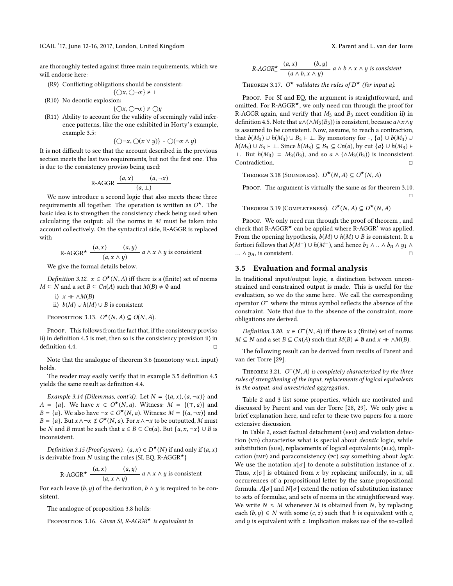ICAIL '17, June 12-16, 2017, London, United Kingdom X. Parent and L. van der Torre

are thoroughly tested against three main requirements, which we will endorse here:

- (R9) Conflicting obligations should be consistent:
	- $\{\bigcirc x,\bigcirc\neg x\}$   $\neq \bot$
- (R10) No deontic explosion:

$$
\{\bigcirc x,\bigcirc\neg x\} \nvdash \bigcirc y
$$

 $\{\bigcirc x, \bigcirc \neg x\} \nvDash \bigcirc y$ <br>(R11) Ability to account for the validity of seemingly valid inference patterns, like the one exhibited in Horty's example, example [3.5:](#page-3-3)

$$
\{\bigcirc\neg x,\bigcirc(x\vee y)\}\vdash\bigcirc(\neg x\wedge y)
$$

{ $\bigcirc$ ¬x,  $\bigcirc$ (x  $\vee$  y)}  $\vdash$   $\bigcirc$ (¬x  $\wedge$  y)<br>It is not difficult to see that the account described in the previous section meets the last two requirements, but not the first one. This is due to the consistency proviso being used:

$$
R\text{-AGGR} \frac{(a, x) \qquad (a, \neg x)}{(a, \bot)}
$$
  
We now introduce a second logic that also meets these three

requirements all together. The operation is written as  $O^{\star}$ . The basic idea is to strengthen the consistency check being used when calculating the output: all the norms in  $M$  must be taken into account collectively. On the syntactical side, R-AGGR is replaced with

R-AGGR<sup>\*</sup> 
$$
\frac{(a, x) \quad (a, y)}{(a, x \land y)} a \land x \land y \text{ is consistent}
$$
  
We give the formal details below.

*Definition 3.12.*  $x \in O^{\star}(N, A)$  iff there is a (finite) set of norms  $\subseteq N$  and a set  $B \subseteq Cn(A)$  such that  $M(B) \neq \emptyset$  and  $M \subseteq N$  and a set  $B \subseteq Cn(A)$  such that  $M(B) \neq \emptyset$  and

- i)  $x + \land M(B)$
- ii)  $b(M)$  ∪  $h(M)$  ∪ B is consistent

Proposition 3.13.  $O^{\star}(N, A) \subseteq O(N, A)$ .

PROOF. This follows from the fact that, if the consistency proviso ii) in definition [4.5](#page-7-1) is met, then so is the consistency provision ii) in  $definition 4.4.$  $definition 4.4.$ 

Note that the analogue of theorem [3.6](#page-3-2) (monotony w.r.t. input) holds.

The reader may easily verify that in example [3.5](#page-3-3) definition [4.5](#page-7-1) yields the same result as definition [4.4.](#page-7-0)

Example 3.14 (Dilemmas, cont'd). Let  $N = \{(a, x), (a, \neg x)\}\$ and  $A = \{a\}$ . We have  $x \in O^*(N, a)$ . Witness:  $M = \{(\tau, a)\}$  and  $B = \{a\}$ . We also have  $\neg x \in O^*(N, a)$ . Witness:  $M = \{(a, \neg x)\}$  and  $B = \{a\}$ . We also have  $\neg x \in O^*(N, a)$ . Witness:  $M = \{(a, \neg x)\}$  and  $B = \{a\}$ . But  $x \wedge \neg x \notin O^*(N, a)$ . For  $x \wedge \neg x$  to be outputted. M must  $B = \{a\}$ . But  $x \wedge \neg x \notin O^*(N, a)$ . For  $x \wedge \neg x$  to be outputted, M must<br>be N and B must be such that  $a \in B \subseteq Cn(a)$ . But  $\{a, x, \neg x\} \cup B$  is be N and B must be such that  $a \in B \subseteq Cn(a)$ . But  $\{a, x, \neg x\} \cup B$  is inconsistent.

Definition 3.15 (Proof system).  $(a, x) \in D^*(N)$  if and only if  $(a, x)$ <br>derivable from N using the rules SI EQ B-AGCB<sup>\*</sup>). is derivable from N using the rules {SI, EQ, R-AGGR $\star$ }

R-AGGR<sup>\*</sup> 
$$
\frac{(a, x) \quad (a, y)}{(a, x \land y)}
$$
  $a \land x \land y$  is consistent

For each leave  $(b, y)$  of the derivation,  $b \wedge y$  is required to be consistent sistent.

The analogue of proposition [3.8](#page-3-4) holds:

PROPOSITION 3.16. Given SI, R-AGGR<sup>\*</sup> is equivalent to

$$
R\text{-AGGR}^{\star} \xrightarrow{\begin{array}{c} (a,x) \quad (b,y) \\ (a \wedge b, x \wedge y) \end{array}} a \wedge b \wedge x \wedge y \text{ is consistent}
$$

THEOREM 3.17.  $O^{\star}$  validates the rules of  $D^{\star}$  (for input a).

PROOF. For SI and EQ, the argument is straightforward, and omitted. For R-AGGR $*$ , we only need run through the proof for R-AGGR again, and verify that  $M_3$  and  $B_3$  meet condition ii) in definition [4.5.](#page-7-1) Note that  $a \wedge (\wedge M_3(B_3))$  is consistent, because  $a \wedge x \wedge y$ is assumed to be consistent. Now, assume, to reach a contraction, that  $b(M_3) \cup h(M_3) \cup B_3 \vdash \bot$ . By monotony for  $\vdash$ ,  $\{a\} \cup b(M_3) \cup$  $h(M_3) \cup B_3 \vdash \bot$ . Since  $b(M_3) \subseteq B_3 \subseteq Cn(a)$ , by cut  $\{a\} \cup h(M_3) \vdash$ ⊥. But  $h(M_3) = M_3(B_3)$ , and so  $a \wedge (\wedge M_3(B_3))$  is inconsistent. Contradiction.

Theorem 3.18 (Soundness).  $D^{\star}(N, A) \subseteq O^{\star}(N, A)$ 

PROOF. The argument is virtually the same as for theorem [3.10.](#page-4-1)  $\Box$ 

Theorem 3.19 (COMPLETENESS).  $O^{\star}(N, A) \subseteq D^{\star}(N, A)$ 

PROOF. We only need run through the proof of theorem, and check that R-AGGR<sup>\*</sup> can be applied where R-AGGR<sup>'</sup> was applied. From the opening hypothesis,  $b(M) \cup h(M) \cup B$  is consistent. It a fortiori follows that  $b(M^-) \cup h(M^-)$ , and hence  $b_1 \wedge ... \wedge b_n \wedge y_1 \wedge ... \wedge y_n$  is consistent ...  $∧ y_n$ , is consistent.

#### 3.5 Evaluation and formal analysis

In traditional input/output logic, a distinction between unconstrained and constrained output is made. This is useful for the evaluation, so we do the same here. We call the corresponding operator  $O^-$  where the minus symbol reflects the absence of the constraint. Note that due to the absence of the constraint, more obligations are derived.

*Definition 3.20.*  $x \in O^-(N, A)$  iff there is a (finite) set of norms  $\subset N$  and  $x \neq 0$  and  $x \neq 0$   $M(R)$  $M \subseteq N$  and a set  $B \subseteq Cn(A)$  such that  $M(B) \neq \emptyset$  and  $x + \wedge M(B)$ .

The following result can be derived from results of Parent and van der Torre [\[29\]](#page-9-25).

THEOREM 3.21.  $O^{-}(N, A)$  is completely characterized by the three<br>les of strengthening of the input replacements of logical equivalents rules of strengthening of the input, replacements of logical equivalents in the output, and unrestricted aggregation.

Table [2](#page-6-0) and [3](#page-6-1) list some properties, which are motivated and discussed by Parent and van der Torre [\[28,](#page-9-26) [29\]](#page-9-25). We only give a brief explanation here, and refer to these two papers for a more extensive discussion.

In Table [2,](#page-6-0) exact factual detachment (EFD) and violation detection (VD) characterise what is special about deontic logic, while substitution (SUB), replacements of logical equivalents (RLE), implication (imp) and paraconsistency (pc) say something about logic. We use the notation  $x[\sigma]$  to denote a substitution instance of x. Thus,  $x[\sigma]$  is obtained from x by replacing uniformly, in x, all occurrences of a propositional letter by the same propositional formula.  $A[\sigma]$  and  $N[\sigma]$  extend the notion of substitution instance to sets of formulae, and sets of norms in the straightforward way. We write  $N \approx M$  whenever M is obtained from N, by replacing each  $(b, y) \in N$  with some  $(c, z)$  such that b is equivalent with c, and  $y$  is equivalent with  $z$ . Implication makes use of the so-called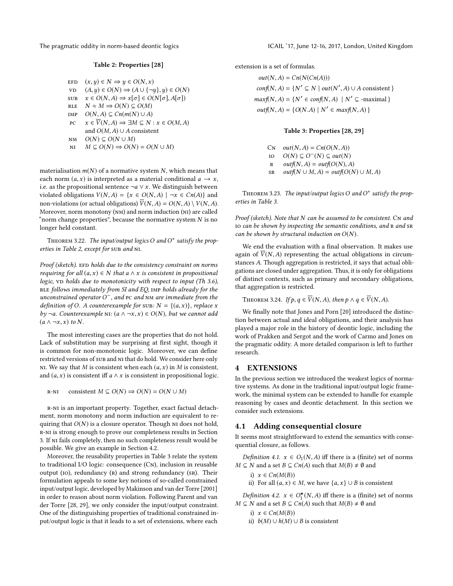<span id="page-6-0"></span>

#### Table 2: Properties [\[28\]](#page-9-26)

- EFD  $(x, y) \in N \Rightarrow y \in O(N, x)$ <br>
vD  $(A, y) \in O(N) \Rightarrow (A \cup \{ \neg u$ vd  $(A, y) \in O(N) \Rightarrow (A \cup {\neg y}, y) \in O(N)$ <br>sub  $x \in O(N, A) \Rightarrow x[\sigma] \in O(N[\sigma], A[\sigma])$ SUB  $x \in O(N, A) \Rightarrow x[\sigma] \in O(N[\sigma], A[\sigma])$ <br>RLE  $N \approx M \Rightarrow O(N) \subset O(M)$ RLE  $N \approx M \Rightarrow O(N) \subseteq O(M)$ <br>IMP  $O(N \land S) \subset Cn(m(N) \cup A)$ IMP  $O(N, A) \subseteq Cn(m(N) \cup A)$ <br>
PC  $x \in \overline{V}(N, A) \Rightarrow \exists M \subseteq N$  $x \in \overline{V}(N, A) \Rightarrow \exists M \subseteq N : x \in O(M, A)$ and  $O(M, A)$  ∪ A consistent
- 
- NM  $O(N) \subseteq O(N \cup M)$ <br>NI  $M \subseteq O(N) \Rightarrow O(N)$  $M \subseteq O(N) \Rightarrow O(N) = O(N \cup M)$

materialisation  $m(N)$  of a normative system N, which means that each norm  $(a, x)$  is interpreted as a material conditional  $a \rightarrow x$ , i.e. as the propositional sentence  $\neg a \lor x$ . We distinguish between violated obligations  $V(N, A) = \{x \in O(N, A) \mid \neg x \in Cn(A)\}\$ and non-violations (or actual obligations)  $\overline{V}(N, A) = O(N, A) \setminus V(N, A)$ . Moreover, norm monotony (nm) and norm induction (ni) are called "norm change properties", because the normative system  $N$  is no longer held constant.

THEOREM 3.22. The input/output logics O and  $O^*$  satisfy the prop-<br>ies in Table 2, except for SUP and NI erties in Table [2,](#page-6-0) except for sub and NI.

Proof (sketch). EFD holds due to the consistency constraint on norms requiring for all  $(a, x) \in N$  that a  $\wedge x$  is consistent in propositional logic,  $VD$  holds due to monotonicity with respect to input (Th 3.6), RLE follows immediately from SI and EQ, IMP holds already for the unconstrained operator  $O^-$ , and pc and NM are immediate from the definition of  $O^-$  4 counterexample for super $N = f(a, x)$ , replace x definition of O. A counterexample for sub:  $N = \{(a, x)\}\)$ , replace x by  $\neg a$ . Counterexample NI:  $(a \land \neg x, x) \in O(N)$ , but we cannot add  $(a \wedge \neg x, x)$  to N.

The most interesting cases are the properties that do not hold. Lack of substitution may be surprising at first sight, though it is common for non-monotonic logic. Moreover, we can define restricted versions of sub and ni that do hold. We consider here only NI. We say that M is consistent when each  $(a, x)$  in M is consistent, and  $(a, x)$  is consistent iff  $a \wedge x$  is consistent in propositional logic.

R-NI consistent  $M \subseteq O(N) \Rightarrow O(N) = O(N \cup M)$ 

r-ni is an important property. Together, exact factual detachment, norm monotony and norm induction are equivalent to requiring that  $O(N)$  is a closure operator. Though  $NI$  does not hold, r-ni is strong enough to prove our completeness results in Section 3. If ni fails completely, then no such completeness result would be possible. We give an example in Section 4.2.

Moreover, the reusability properties in Table [3](#page-6-1) relate the system to traditional I/O logic: consequence (Cn), inclusion in reusable output (IO), redundancy (R) and strong redundancy (SR). Their formulation appeals to some key notions of so-called constrained input/output logic, developed by Makinson and van der Torre [\[2001\]](#page-9-12) in order to reason about norm violation. Following Parent and van der Torre [\[28,](#page-9-26) [29\]](#page-9-25), we only consider the input/output constraint. One of the distinguishing properties of traditional constrained input/output logic is that it leads to a set of extensions, where each

extension is a set of formulas.

 $out(N, A) = Cn(N(Cn(A)))$  $conf(N, A) = \{N' \subseteq N \mid out(N', A) \cup A \text{ consistent }\}$  $maxf(N, A) = \{N' \in conf(N, A) \mid N' \subseteq \text{-maximal}\}\$  $outf(N, A) = \{O(N.A) | N' \in maxf(N, A) \}$ 

#### Table 3: Properties [\[28,](#page-9-26) [29\]](#page-9-25)

<span id="page-6-1"></span>CN  $out(N, A) = Cn(O(N, A))$ <br>
IO  $O(N) \subseteq O^{-}(N) \subseteq out(N)$ io  $O(N) \subseteq O^{-}(N) \subseteq out(N)$ <br>P outf(N A) = outf(O(N) A R outf(N, A) = outf(O(N), A)<br>SR outf(N \ \ M, A) = outf(O(N)  $outf(N \cup M, A) = outf(O(N) \cup M, A)$ 

THEOREM 3.23. The input/output logics O and  $O^*$  satisfy the prop-<br>ies in Table 3 erties in Table [3.](#page-6-1)

Proof (sketch). Note that  $N$  can be assumed to be consistent. C $N$  and IO can be shown by inspecting the semantic conditions, and R and SR can be shown by structural induction on  $O(N)$ .

We end the evaluation with a final observation. It makes use again of  $\overline{V}(N, A)$  representing the actual obligations in circumstances A. Though aggregation is restricted, it says that actual obligations are closed under aggregation. Thus, it is only for obligations of distinct contexts, such as primary and secondary obligations, that aggregation is restricted.

THEOREM 3.24. If  $p, q \in \overline{V}(N, A)$ , then  $p \wedge q \in \overline{V}(N, A)$ .

We finally note that Jones and Porn [\[20\]](#page-9-27) introduced the distinction between actual and ideal obligations, and their analysis has played a major role in the history of deontic logic, including the work of Prakken and Sergot and the work of Carmo and Jones on the pragmatic oddity. A more detailed comparison is left to further research.

#### 4 EXTENSIONS

In the previous section we introduced the weakest logics of normative systems. As done in the traditional input/output logic framework, the minimal system can be extended to handle for example reasoning by cases and deontic detachment. In this section we consider such extensions.

#### 4.1 Adding consequential closure

It seems most straightforward to extend the semantics with consequential closure, as follows.

Definition 4.1.  $x \in O_1(N, A)$  iff there is a (finite) set of norms  $M \subseteq N$  and a set  $B \subseteq Cn(A)$  such that  $M(B) \neq \emptyset$  and

- i)  $x \in Cn(M(B))$
- ii) For all  $(a, x)$  ∈ *M*, we have  $\{a, x\}$  ∪ *B* is consistent

*Definition 4.2.*  $x \in O_1^{\star}(N, A)$  iff there is a (finite) set of norms  $\subseteq N$  and a set  $B \subseteq Cn(A)$  such that  $M(B) \neq \emptyset$  and  $M \subseteq N$  and a set  $B \subseteq Cn(A)$  such that  $M(B) \neq \emptyset$  and

- i)  $x \in Cn(M(B))$
- ii)  $b(M)$  ∪  $h(M)$  ∪ B is consistent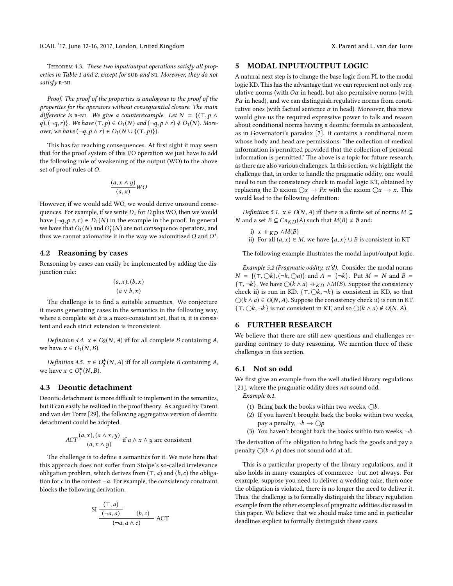THEOREM 4.3. These two input/output operations satisfy all properties in Table 1 and 2, except for sub and NI. Moreover, they do not satisfy R-NI.

Proof. The proof of the properties is analogous to the proof of the properties for the operators without consequential closure. The main difference is R-NI. We give a counterexample. Let  $N = \{(\top, p \land$ q),  $(\neg q, r)$ . We have  $(\top, p) \in O_1(N)$  and  $(\neg q, p \wedge r) \notin O_1(N)$ . Moreover, we have  $(\neg q, p \land r) \in O_1(N \cup \{(\top, p)\})$ .

This has far reaching consequences. At first sight it may seem that for the proof system of this I/O operation we just have to add the following rule of weakening of the output (WO) to the above set of proof rules of O.

$$
\frac{(a, x \wedge y)}{(a, x)}WO
$$

However, if we would add WO, we would derive unsound consequences. For example, if we write  $D_1$  for  $D$  plus WO, then we would have  $(\neg q, p \land r) \in D_1(N)$  in the example in the proof. In general we have that  $O_1(N)$  and  $O_1^*(N)$  are not consequence operators, and<br>thus we cannot axiomatize it in the way we axiomitized  $O$  and  $O^*$ thus we cannot axiomatize it in the way we axiomitized  $O$  and  $O^*$ .

#### 4.2 Reasoning by cases

Reasoning by cases can easily be implemented by adding the disjunction rule:

$$
\frac{(a, x), (b, x)}{(a \vee b, x)}
$$

The challenge is to find a suitable semantics. We conjecture it means generating cases in the semantics in the following way, where a complete set  $B$  is a maxi-consistent set, that is, it is consistent and each strict extension is inconsistent.

<span id="page-7-0"></span>Definition 4.4.  $x \in O_2(N, A)$  iff for all complete B containing A, we have  $x \in O_1(N, B)$ .

<span id="page-7-1"></span>Definition 4.5.  $x \in O_2^{\star}(N, A)$  iff for all complete B containing A, have  $x \in O_{\star}^{\star}(N, B)$ we have  $x \in O_1^{\star}(N, B)$ .

## 4.3 Deontic detachment

Deontic detachment is more difficult to implement in the semantics, but it can easily be realized in the proof theory. As argued by Parent and van der Torre [\[29\]](#page-9-25), the following aggregative version of deontic detachment could be adopted.

$$
ACT \frac{(a, x), (a \wedge x, y)}{(a, x \wedge y)}
$$
 if  $a \wedge x \wedge y$  are consistent

The challenge is to define a semantics for it. We note here that this approach does not suffer from Stolpe's so-called irrelevance obligation problem, which derives from  $(\top, a)$  and  $(b, c)$  the obligation for c in the context  $\neg a$ . For example, the consistency constraint blocks the following derivation.

SI 
$$
\frac{(\tau, a)}{(-a, a)} \qquad (b, c)
$$

$$
(-a, a \wedge c)
$$
ACT

#### 5 MODAL INPUT/OUTPUT LOGIC

A natural next step is to change the base logic from PL to the modal logic KD. This has the advantage that we can represent not only regulative norms (with  $O\alpha$  in head), but also permissive norms (with  $P\alpha$  in head), and we can distinguish regulative norms from constitutive ones (with factual sentence  $\alpha$  in head). Moreover, this move would give us the required expressive power to talk and reason about conditional norms having a deontic formula as antecedent, as in Governatori's paradox [\[7\]](#page-8-6). it contains a conditional norm whose body and head are permissions: "the collection of medical information is permitted provided that the collection of personal information is permitted." The above is a topic for future research, as there are also various challenges. In this section, we highlight the challenge that, in order to handle the pragmatic oddity, one would need to run the consistency check in modal logic KT, obtained by replacing the D axiom  $\bigcirc x \to Px$  with the axiom  $\bigcirc x \to x$ . This would lead to the following definition:

*Definition 5.1.*  $x \in O(N, A)$  iff there is a finite set of norms  $M \subseteq$ *N* and a set *B* ⊆ *Cn<sub>KD</sub>*(*A*) such that *M*(*B*)  $\neq$  *Ø* and:

i) 
$$
x + K_D \wedge M(B)
$$
  
ii) For all  $(a, x) \in$ 

ii) For all  $(a, x) \in M$ , we have  $\{a, x\} \cup B$  is consistent in KT

The following example illustrates the modal input/output logic.

Example 5.2 (Pragmatic oddity, ct'd). Consider the modal norms  $N = \{(\top, \bigcirc k), (\neg k, \bigcirc a)\}\$ and  $A = \{\neg k\}$ . Put  $M = N$  and  $B =$ { $\tau$ , ¬*k*}. We have ○( $k \wedge a$ ) +  $_{KD} \wedge M(B)$ . Suppose the consistency check ii) is run in KD.  $\{\top, \bigcirc k, \neg k\}$  is consistent in KD, so that  $\bigcirc (k \land a) \in O(N, A)$ . Suppose the consistency check ii) is run in KT. { $\top$ , ○k, ¬k} is not consistent in KT, and so ○(k ∧ a) ∉ O(N, A).

#### 6 FURTHER RESEARCH

We believe that there are still new questions and challenges regarding contrary to duty reasoning. We mention three of these challenges in this section.

#### 6.1 Not so odd

We first give an example from the well studied library regulations [\[21\]](#page-9-15), where the pragmatic oddity does not sound odd.

Example 6.1.

- (1) Bring back the books within two weeks,  $\bigcirc b$ .
- (2) If you haven't brought back the books within two weeks, pay a penalty,  $\neg b \rightarrow \bigcirc p$
- (3) You haven't brought back the books within two weeks,  $\neg b$ .

The derivation of the obligation to bring back the goods and pay a penalty  $\bigcirc (b \land p)$  does not sound odd at all.

This is a particular property of the library regulations, and it also holds in many examples of commerce—but not always. For example, suppose you need to deliver a wedding cake, then once the obligation is violated, there is no longer the need to deliver it. Thus, the challenge is to formally distinguish the library regulation example from the other examples of pragmatic oddities discussed in this paper. We believe that we should make time and in particular deadlines explicit to formally distinguish these cases.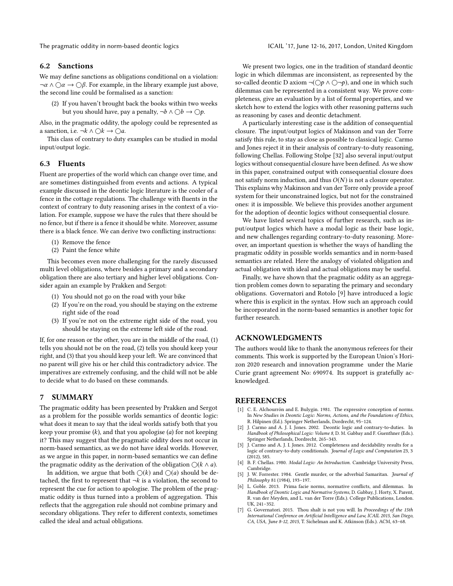The pragmatic oddity in norm-based deontic logics ICAIL '17, June 12-16, 2017, London, United Kingdom

#### 6.2 Sanctions

We may define sanctions as obligations conditional on a violation:  $\neg \alpha \land \bigcirc \alpha \rightarrow \bigcirc \beta$ . For example, in the library example just above, the second line could be formalised as a sanction:

(2) If you haven't brought back the books within two weeks but you should have, pay a penalty,  $\neg b \land \bigcirc b \rightarrow \bigcirc p$ .

Also, in the pragmatic oddity, the apology could be represented as a sanction, i.e. ¬ $k \wedge \bigcirc k \to \bigcirc a$ .

This class of contrary to duty examples can be studied in modal input/output logic.

#### 6.3 Fluents

Fluent are properties of the world which can change over time, and are sometimes distinguished from events and actions. A typical example discussed in the deontic logic literature is the cooler of a fence in the cottage regulations. The challenge with fluents in the context of contrary to duty reasoning arises in the context of a violation. For example, suppose we have the rules that there should be no fence, but if there is a fence it should be white. Moreover, assume there is a black fence. We can derive two conflicting instructions:

- (1) Remove the fence
- (2) Paint the fence white

This becomes even more challenging for the rarely discussed multi level obligations, where besides a primary and a secondary obligation there are also tertiary and higher level obligations. Consider again an example by Prakken and Sergot:

- (1) You should not go on the road with your bike
- (2) If you're on the road, you should be staying on the extreme right side of the road
- (3) If you're not on the extreme right side of the road, you should be staying on the extreme left side of the road.

If, for one reason or the other, you are in the middle of the road, (1) tells you should not be on the road, (2) tells you should keep your right, and (3) that you should keep your left. We are convinced that no parent will give his or her child this contradictory advice. The imperatives are extremely confusing, and the child will not be able to decide what to do based on these commands.

## 7 SUMMARY

The pragmatic oddity has been presented by Prakken and Sergot as a problem for the possible worlds semantics of deontic logic: what does it mean to say that the ideal worlds satisfy both that you keep your promise  $(k)$ , and that you apologise  $(a)$  for not keeping it? This may suggest that the pragmatic oddity does not occur in norm-based semantics, as we do not have ideal worlds. However, as we argue in this paper, in norm-based semantics we can define the pragmatic oddity as the derivation of the obligation  $\bigcirc (k \wedge a)$ .

In addition, we argue that both  $\bigcirc(k)$  and  $\bigcirc(a)$  should be detached, the first to represent that  $\neg k$  is a violation, the second to represent the cue for action to apologise. The problem of the pragmatic oddity is thus turned into a problem of aggregation. This reflects that the aggregation rule should not combine primary and secondary obligations. They refer to different contexts, sometimes called the ideal and actual obligations.

We present two logics, one in the tradition of standard deontic logic in which dilemmas are inconsistent, as represented by the so-called deontic D axiom ¬(○ $p \land$  → $p$ ), and one in which such dilemmas can be represented in a consistent way. We prove completeness, give an evaluation by a list of formal properties, and we sketch how to extend the logics with other reasoning patterns such as reasoning by cases and deontic detachment.

A particularly interesting case is the addition of consequential closure. The input/output logics of Makinson and van der Torre satisfy this rule, to stay as close as possible to classical logic. Carmo and Jones reject it in their analysis of contrary-to-duty reasoning, following Chellas. Following Stolpe [\[32\]](#page-9-28) also several input/output logics without consequential closure have been defined. As we show in this paper, constrained output with consequential closure does not satisfy norm induction, and thus  $O(N)$  is not a closure operator. This explains why Makinson and van der Torre only provide a proof system for their unconstrained logics, but not for the constrained ones: it is impossible. We believe this provides another argument for the adoption of deontic logics without consequential closure.

We have listed several topics of further research, such as input/output logics which have a modal logic as their base logic, and new challenges regarding contrary-to-duty reasoning. Moreover, an important question is whether the ways of handling the pragmatic oddity in possible worlds semantics and in norm-based semantics are related. Here the analogy of violated obligation and actual obligation with ideal and actual obligations may be useful.

Finally, we have shown that the pragmatic oddity as an aggregation problem comes down to separating the primary and secondary obligations. Governatori and Rotolo [\[9\]](#page-9-29) have introduced a logic where this is explicit in the syntax. How such an approach could be incorporated in the norm-based semantics is another topic for further research.

## ACKNOWLEDGMENTS

The authors would like to thank the anonymous referees for their comments. This work is supported by the European Union's Horizon 2020 research and innovation programme under the Marie Curie grant agreement No: 690974. Its support is gratefully acknowledged.

#### REFERENCES

- <span id="page-8-2"></span>[1] C. E. Alchourrón and E. Bulygin. 1981. The expressive conception of norms. In New Studies in Deontic Logic: Norms, Actions, and the Foundations of Ethics, R. Hilpinen (Ed.). Springer Netherlands, Dordrecht, 95–124.
- <span id="page-8-0"></span>J. Carmo and A. J. I. Jones. 2002. Deontic logic and contrary-to-duties. In Handbook of Philosophical Logic: Volume 8, D. M. Gabbay and F. Guenthner (Eds.). Springer Netherlands, Dordrecht, 265–343.
- <span id="page-8-1"></span>J. Carmo and A. J. I. Jones. 2012. Completeness and decidability results for a logic of contrary-to-duty conditionals. Journal of Logic and Computation 23, 3 (2012), 585.
- <span id="page-8-3"></span>[4] B. F. Chellas. 1980. Modal Logic: An Introduction. Cambridge University Press, Cambridge.
- <span id="page-8-4"></span>[5] J. W. Forrester. 1984. Gentle murder, or the adverbial Samaritan. Journal of Philosophy 81 (1984), 193–197.
- <span id="page-8-5"></span>[6] L. Goble. 2013. Prima facie norms, normative conflicts, and dilemmas. In Handbook of Deontic Logic and Normative Systems, D. Gabbay, J. Horty, X. Parent, R. van der Meyden, and L. van der Torre (Eds.). College Publications, London. UK, 241–352.
- <span id="page-8-6"></span>[7] G. Governatori. 2015. Thou shalt is not you will. In Proceedings of the 15th International Conference on Artificial Intelligence and Law, ICAIL 2015, San Diego, CA, USA, June 8-12, 2015, T. Sichelman and K. Atkinson (Eds.). ACM, 63–68.